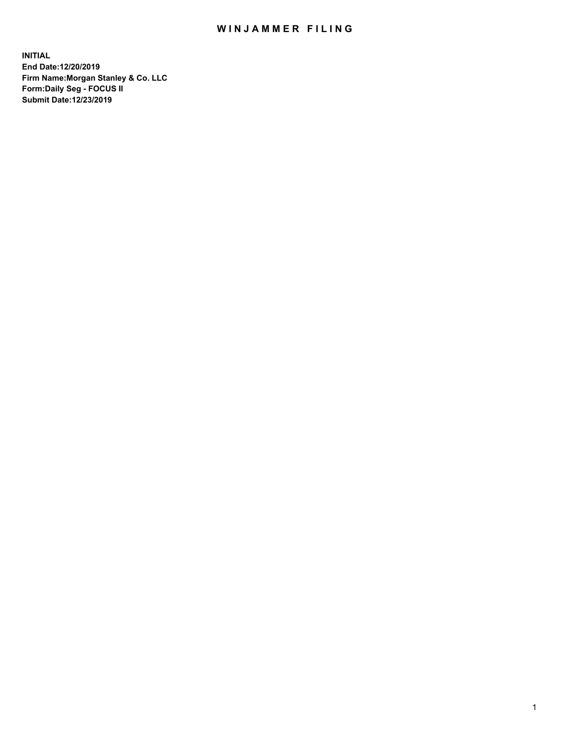## WIN JAMMER FILING

**INITIAL End Date:12/20/2019 Firm Name:Morgan Stanley & Co. LLC Form:Daily Seg - FOCUS II Submit Date:12/23/2019**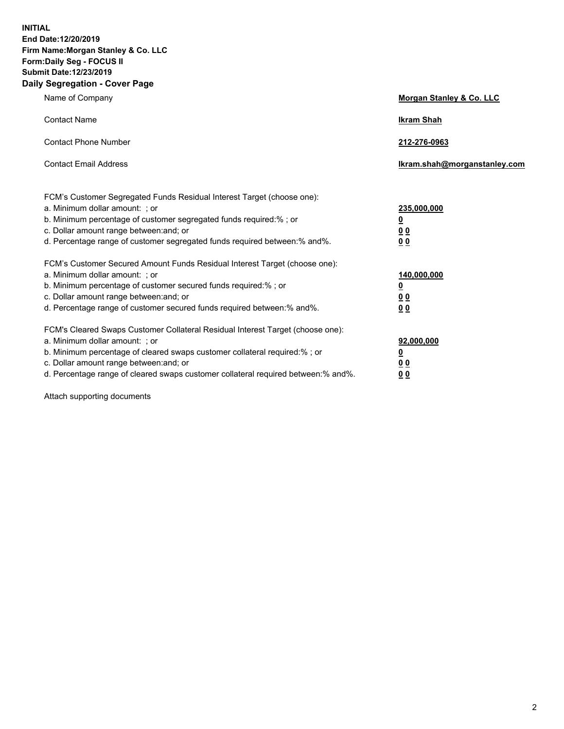**INITIAL End Date:12/20/2019 Firm Name:Morgan Stanley & Co. LLC Form:Daily Seg - FOCUS II Submit Date:12/23/2019 Daily Segregation - Cover Page**

| Name of Company                                                                                                                                                                                                                                                                                                                | Morgan Stanley & Co. LLC                               |
|--------------------------------------------------------------------------------------------------------------------------------------------------------------------------------------------------------------------------------------------------------------------------------------------------------------------------------|--------------------------------------------------------|
| <b>Contact Name</b>                                                                                                                                                                                                                                                                                                            | <b>Ikram Shah</b>                                      |
| <b>Contact Phone Number</b>                                                                                                                                                                                                                                                                                                    | 212-276-0963                                           |
| <b>Contact Email Address</b>                                                                                                                                                                                                                                                                                                   | Ikram.shah@morganstanley.com                           |
| FCM's Customer Segregated Funds Residual Interest Target (choose one):<br>a. Minimum dollar amount: : or<br>b. Minimum percentage of customer segregated funds required:% ; or<br>c. Dollar amount range between: and; or<br>d. Percentage range of customer segregated funds required between:% and%.                         | 235,000,000<br><u>0</u><br>0 <sub>0</sub><br><u>00</u> |
| FCM's Customer Secured Amount Funds Residual Interest Target (choose one):<br>a. Minimum dollar amount: ; or<br>b. Minimum percentage of customer secured funds required:% ; or<br>c. Dollar amount range between: and; or<br>d. Percentage range of customer secured funds required between:% and%.                           | 140,000,000<br><u>0</u><br><u>00</u><br>0 <sub>0</sub> |
| FCM's Cleared Swaps Customer Collateral Residual Interest Target (choose one):<br>a. Minimum dollar amount: ; or<br>b. Minimum percentage of cleared swaps customer collateral required:% ; or<br>c. Dollar amount range between: and; or<br>d. Percentage range of cleared swaps customer collateral required between:% and%. | 92,000,000<br><u>0</u><br><u>00</u><br>0 <sub>0</sub>  |

Attach supporting documents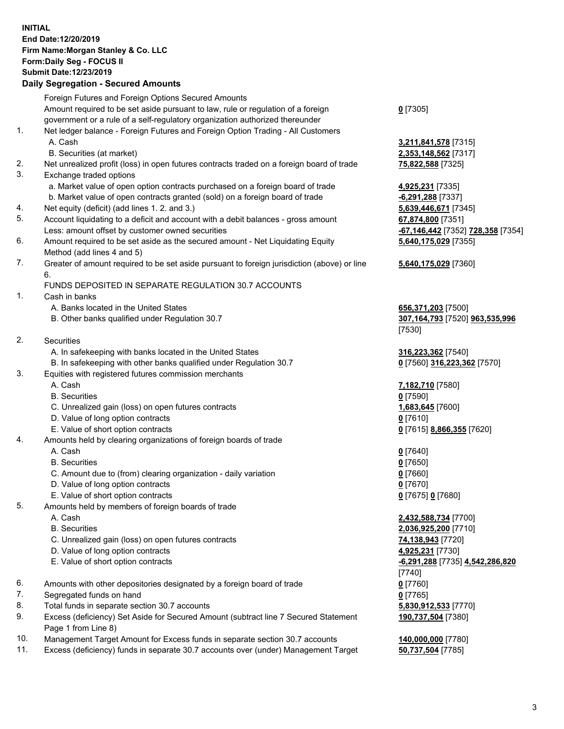## **INITIAL End Date:12/20/2019 Firm Name:Morgan Stanley & Co. LLC Form:Daily Seg - FOCUS II Submit Date:12/23/2019**

## **Daily Segregation - Secured Amounts**

|                | Foreign Futures and Foreign Options Secured Amounts                                         |                                 |
|----------------|---------------------------------------------------------------------------------------------|---------------------------------|
|                | Amount required to be set aside pursuant to law, rule or regulation of a foreign            | $0$ [7305]                      |
|                | government or a rule of a self-regulatory organization authorized thereunder                |                                 |
| 1.             | Net ledger balance - Foreign Futures and Foreign Option Trading - All Customers             |                                 |
|                | A. Cash                                                                                     | 3,211,841,578 [7315]            |
|                | B. Securities (at market)                                                                   | 2,353,148,562 [7317]            |
| 2.             | Net unrealized profit (loss) in open futures contracts traded on a foreign board of trade   | 75,822,588 [7325]               |
| 3.             | Exchange traded options                                                                     |                                 |
|                | a. Market value of open option contracts purchased on a foreign board of trade              | 4,925,231 [7335]                |
|                | b. Market value of open contracts granted (sold) on a foreign board of trade                | -6,291,288 [7337]               |
| 4.<br>5.       | Net equity (deficit) (add lines 1.2. and 3.)                                                | 5,639,446,671 [7345]            |
|                | Account liquidating to a deficit and account with a debit balances - gross amount           | 67,874,800 [7351]               |
|                | Less: amount offset by customer owned securities                                            | <u>-67,146,442</u> [7352] 728,3 |
| 6.             | Amount required to be set aside as the secured amount - Net Liquidating Equity              | 5,640,175,029 [7355]            |
| 7.             | Method (add lines 4 and 5)                                                                  |                                 |
|                | Greater of amount required to be set aside pursuant to foreign jurisdiction (above) or line | 5,640,175,029 [7360]            |
|                | 6.<br>FUNDS DEPOSITED IN SEPARATE REGULATION 30.7 ACCOUNTS                                  |                                 |
| 1.             | Cash in banks                                                                               |                                 |
|                | A. Banks located in the United States                                                       | 656,371,203 [7500]              |
|                | B. Other banks qualified under Regulation 30.7                                              | 307,164,793 [7520] 963,5        |
|                |                                                                                             | [7530]                          |
| 2.             | Securities                                                                                  |                                 |
|                | A. In safekeeping with banks located in the United States                                   | 316,223,362 [7540]              |
|                | B. In safekeeping with other banks qualified under Regulation 30.7                          | 0 [7560] 316,223,362 [75]       |
| 3.             | Equities with registered futures commission merchants                                       |                                 |
|                | A. Cash                                                                                     | 7,182,710 [7580]                |
|                | <b>B.</b> Securities                                                                        | $0$ [7590]                      |
|                | C. Unrealized gain (loss) on open futures contracts                                         | 1,683,645 [7600]                |
|                | D. Value of long option contracts                                                           | $0$ [7610]                      |
|                | E. Value of short option contracts                                                          | 0 [7615] 8,866,355 [7620]       |
| 4.             | Amounts held by clearing organizations of foreign boards of trade                           |                                 |
|                | A. Cash                                                                                     | $0$ [7640]                      |
|                | <b>B.</b> Securities                                                                        | $0$ [7650]                      |
|                | C. Amount due to (from) clearing organization - daily variation                             | $0$ [7660]                      |
|                | D. Value of long option contracts                                                           | $0$ [7670]                      |
|                | E. Value of short option contracts                                                          | 0 [7675] 0 [7680]               |
| 5.             | Amounts held by members of foreign boards of trade                                          |                                 |
|                | A. Cash                                                                                     | 2,432,588,734 [7700]            |
|                | <b>B.</b> Securities                                                                        | 2,036,925,200 [7710]            |
|                | C. Unrealized gain (loss) on open futures contracts                                         | 74,138,943 [7720]               |
|                | D. Value of long option contracts                                                           | 4,925,231 [7730]                |
|                | E. Value of short option contracts                                                          | -6,291,288 [7735] 4,542,2       |
|                |                                                                                             | [7740]                          |
| 6.             | Amounts with other depositories designated by a foreign board of trade                      | $0$ [7760]                      |
| 7.             | Segregated funds on hand                                                                    | $0$ [7765]                      |
| 8.             | Total funds in separate section 30.7 accounts                                               | 5,830,912,533 [7770]            |
| 9.             | Excess (deficiency) Set Aside for Secured Amount (subtract line 7 Secured Statement         | 190,737,504 [7380]              |
|                | Page 1 from Line 8)                                                                         |                                 |
| $\overline{A}$ |                                                                                             |                                 |

- 10. Management Target Amount for Excess funds in separate section 30.7 accounts **140,000,000** [7780]
- 11. Excess (deficiency) funds in separate 30.7 accounts over (under) Management Target **50,737,504** [7785]

20523 228,358 [7354] **5,640,175,029** [7355] **5,640,175,029** [7360]

B. Other banks qualified under Regulation 30.7 **307,164,793** [7520] **963,535,996**

8. 223,362 [7570]

E. 255 **4,542,286,820 190,737,504** [7380]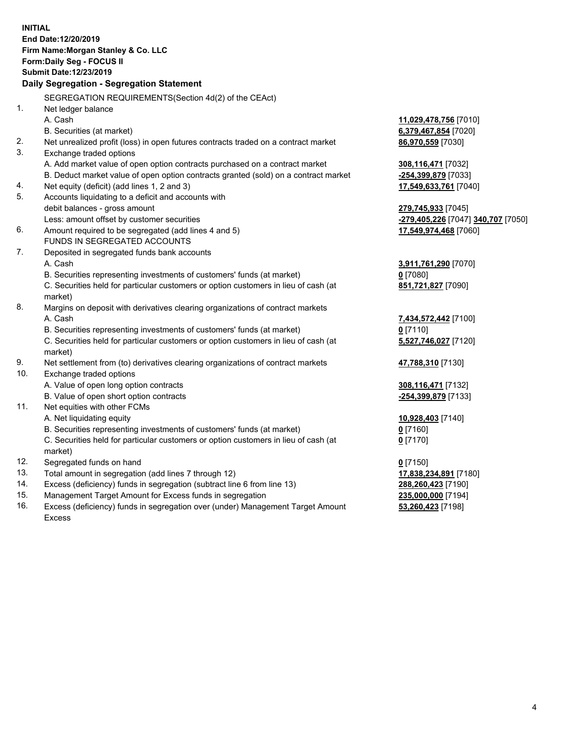**INITIAL End Date:12/20/2019 Firm Name:Morgan Stanley & Co. LLC Form:Daily Seg - FOCUS II Submit Date:12/23/2019 Daily Segregation - Segregation Statement** SEGREGATION REQUIREMENTS(Section 4d(2) of the CEAct) 1. Net ledger balance A. Cash **11,029,478,756** [7010] B. Securities (at market) **6,379,467,854** [7020] 2. Net unrealized profit (loss) in open futures contracts traded on a contract market **86,970,559** [7030] 3. Exchange traded options A. Add market value of open option contracts purchased on a contract market **308,116,471** [7032] B. Deduct market value of open option contracts granted (sold) on a contract market **-254,399,879** [7033] 4. Net equity (deficit) (add lines 1, 2 and 3) **17,549,633,761** [7040] 5. Accounts liquidating to a deficit and accounts with debit balances - gross amount **279,745,933** [7045] Less: amount offset by customer securities **-279,405,226** [7047] **340,707** [7050] 6. Amount required to be segregated (add lines 4 and 5) **17,549,974,468** [7060] FUNDS IN SEGREGATED ACCOUNTS 7. Deposited in segregated funds bank accounts A. Cash **3,911,761,290** [7070] B. Securities representing investments of customers' funds (at market) **0** [7080] C. Securities held for particular customers or option customers in lieu of cash (at market) **851,721,827** [7090] 8. Margins on deposit with derivatives clearing organizations of contract markets A. Cash **7,434,572,442** [7100] B. Securities representing investments of customers' funds (at market) **0** [7110] C. Securities held for particular customers or option customers in lieu of cash (at market) **5,527,746,027** [7120] 9. Net settlement from (to) derivatives clearing organizations of contract markets **47,788,310** [7130] 10. Exchange traded options A. Value of open long option contracts **308,116,471** [7132] B. Value of open short option contracts **-254,399,879** [7133] 11. Net equities with other FCMs A. Net liquidating equity **10,928,403** [7140] B. Securities representing investments of customers' funds (at market) **0** [7160] C. Securities held for particular customers or option customers in lieu of cash (at market) **0** [7170] 12. Segregated funds on hand **0** [7150] 13. Total amount in segregation (add lines 7 through 12) **17,838,234,891** [7180] 14. Excess (deficiency) funds in segregation (subtract line 6 from line 13) **288,260,423** [7190] 15. Management Target Amount for Excess funds in segregation **235,000,000** [7194] **53,260,423** [7198]

16. Excess (deficiency) funds in segregation over (under) Management Target Amount Excess